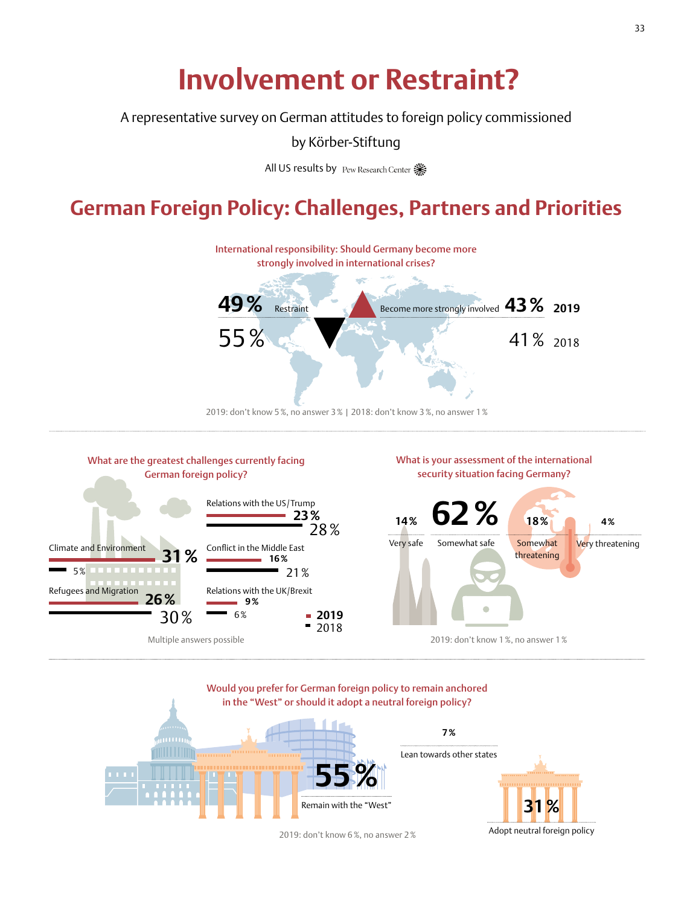# **Involvement or Restraint?**

A representative survey on German attitudes to foreign policy commissioned

by Körber-Stiftung

All US results by Pew Research Center **:** 

## **German Foreign Policy: Challenges, Partners and Priorities**







2019: don't know 6%, no answer 2%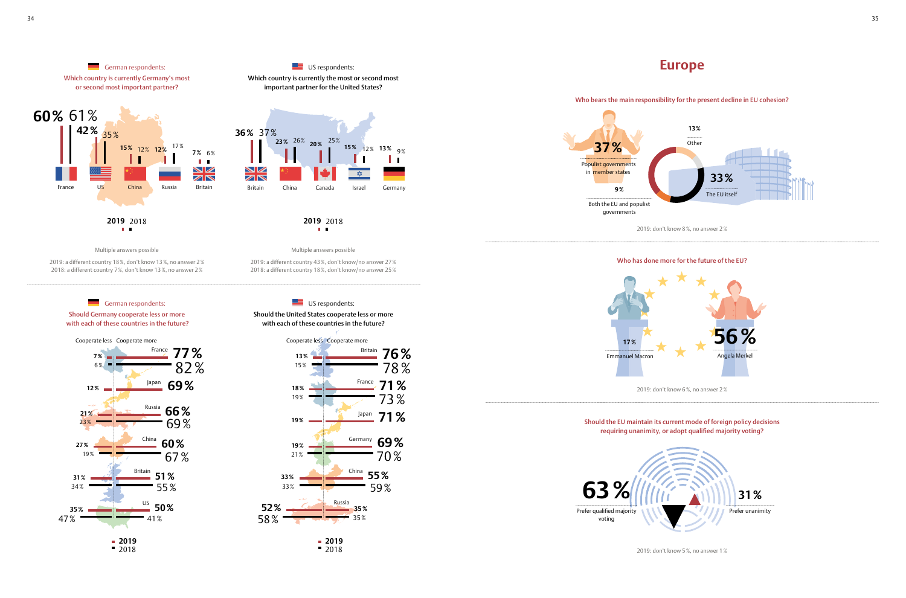German respondents: Which country is currently Germany's most or second most important partner?

Multiple answers possible

2019: a different country 18%, don't know 13%, no answer 2% 2018: a different country 7%, don't know 13%, no answer 2%

German respondents:

61% **60%**

35% **42%**

12% 17% **15% 12% 7%**

7% 6%

 $\blacksquare$ NZ

 $ZN$ 

**2019** 2018

France US China Russia Britain

Multiple answers possible 2019: a different country 43%, don't know/no answer 27% 2018: a different country 18%, don't know/no answer 25%



**2019** 2018

Britain China Canada Israel Germany

**15%** 12% 9% **13%**

∞

25% 26% **23% 20%**

37% **36%**

NZ

ZN

 $\equiv$  US respondents:

### Who has done more for the future of the EU?

2019: don't know 6%, no answer 2%



### **Europe**



2019: don't know 8%, no answer 2%



Should the EU maintain its current mode of foreign policy decisions requiring unanimity, or adopt qualified majority voting?

2019: don't know 5%, no answer 1%



Should Germany cooperate less or more with each of these countries in the future?

2018



Should the United States cooperate less or more

2018





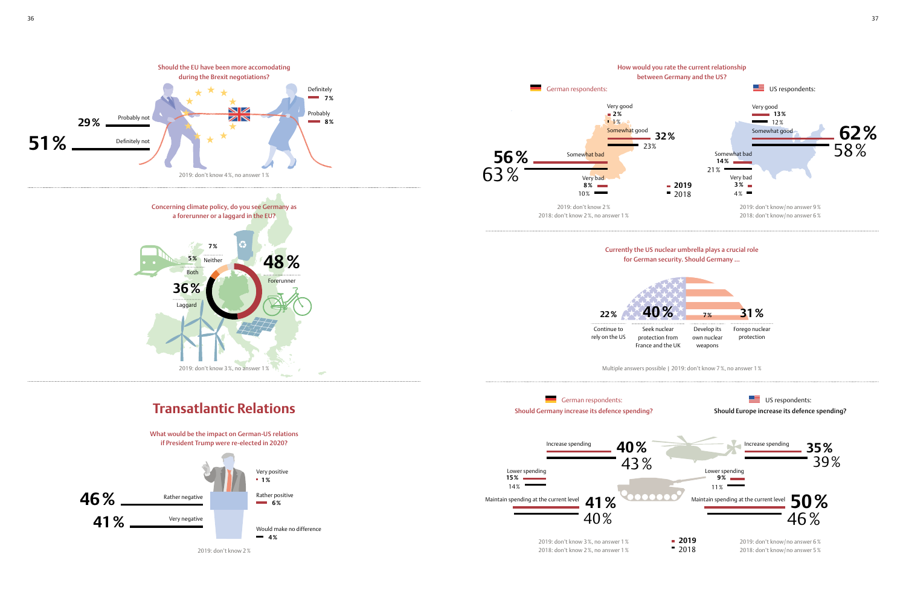





2019: don't know/no answer 6% 2018: don't know/no answer 5%

2019: don't know 3%, no answer 1% 2018: don't know 2%, no answer 1%

**2019** 2018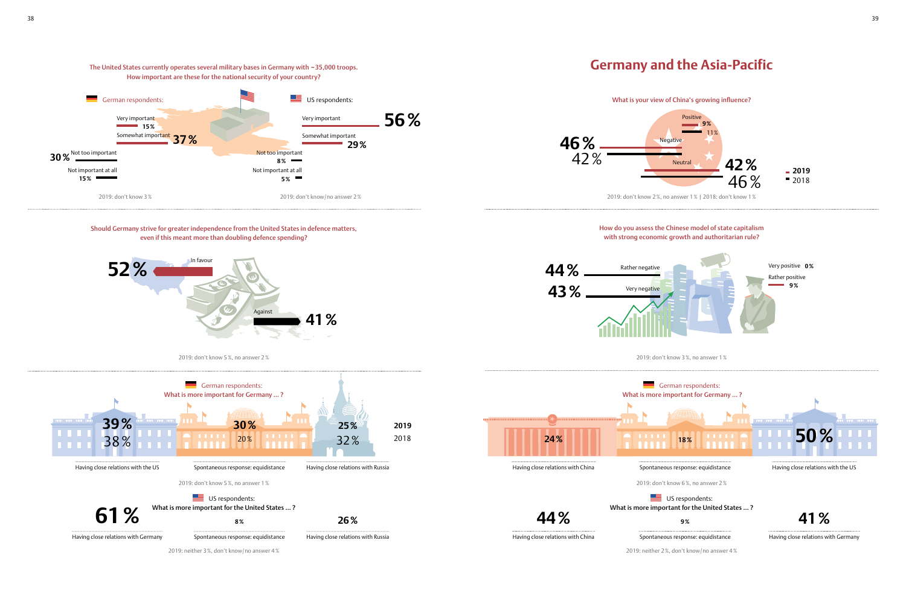### Should Germany strive for greater independence from the United States in defence matters, even if this meant more than doubling defence spending?



2019: don't know 5%, no answer 2%





2019: neither 3%, don't know/no answer 4%

## **Germany and the Asia-Pacific**

#### What is your view of China's growing influence?



2019: don't know 3%, no answer 1%







2019: neither 2%, don't know/no answer 4%

### How do you assess the Chinese model of state capitalism with strong economic growth and authoritarian rule?